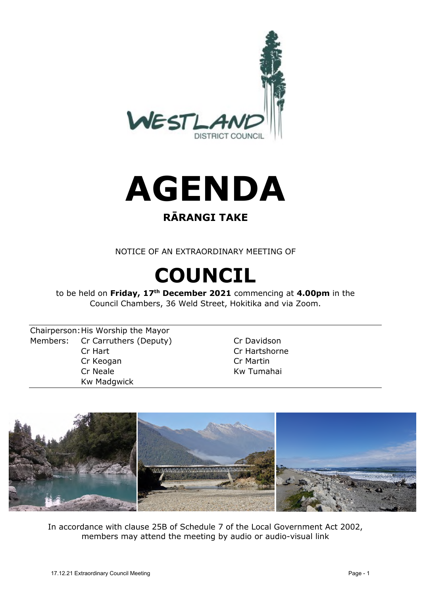



### **RĀRANGI TAKE**

NOTICE OF AN EXTRAORDINARY MEETING OF

# **COUNCIL**

to be held on **Friday, 17th December 2021** commencing at **4.00pm** in the Council Chambers, 36 Weld Street, Hokitika and via Zoom.

Chairperson: His Worship the Mayor Members: Cr Carruthers (Deputy) Cr Davidson Cr Hart Cr Hartshorne Cr Keogan Cr Martin Cr Neale **Kw** Tumahai Kw Madgwick



In accordance with clause 25B of Schedule 7 of the Local Government Act 2002, members may attend the meeting by audio or audio-visual link